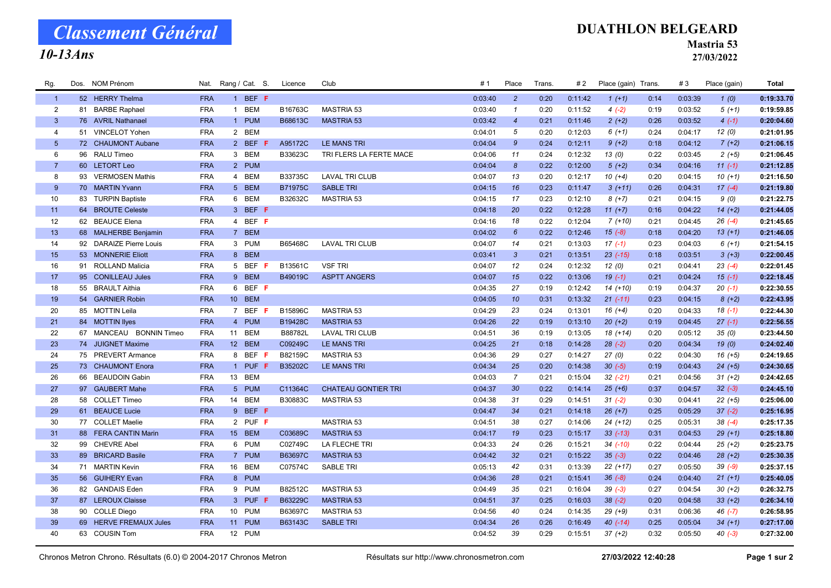# Classement Général

### 10-13Ans

#### DUATHLON BELGEARD

Mastria 53

27/03/2022

| Rg.            |    | Dos. NOM Prénom         | Nat.       | Rang / Cat. S.               | Licence | Club                       | #1      | Place            | Trans. | #2      | Place (gain) Trans. |      | #3      | Place (gain) | Total      |
|----------------|----|-------------------------|------------|------------------------------|---------|----------------------------|---------|------------------|--------|---------|---------------------|------|---------|--------------|------------|
| $\overline{1}$ |    | 52 HERRY Thelma         | <b>FRA</b> | 1 BEF F                      |         |                            | 0:03:40 | $\overline{2}$   | 0:20   | 0:11:42 | $1(+1)$             | 0:14 | 0:03:39 | 1(0)         | 0:19:33.70 |
| $\overline{2}$ | 81 | <b>BARBE Raphael</b>    | <b>FRA</b> | <b>BEM</b><br>$\overline{1}$ | B16763C | MASTRIA 53                 | 0:03:40 | $\mathbf{1}$     | 0:20   | 0:11:52 | $4(-2)$             | 0:19 | 0:03:52 | $5(+1)$      | 0:19:59.85 |
| $\mathbf{3}$   |    | 76 AVRIL Nathanael      | <b>FRA</b> | 1 PUM                        | B68613C | <b>MASTRIA 53</b>          | 0:03:42 | $\overline{4}$   | 0:21   | 0:11:46 | $2(+2)$             | 0:26 | 0:03:52 | $4(-1)$      | 0:20:04.60 |
| $\overline{4}$ |    | 51 VINCELOT Yohen       | <b>FRA</b> | 2 BEM                        |         |                            | 0:04:01 | 5                | 0:20   | 0:12:03 | $6(+1)$             | 0:24 | 0:04:17 | 12 (0)       | 0:21:01.95 |
| 5 <sup>5</sup> |    | 72 CHAUMONT Aubane      | <b>FRA</b> | 2 BEF F                      | A95172C | LE MANS TRI                | 0:04:04 | $\mathcal{G}$    | 0:24   | 0:12:11 | $9 (+2)$            | 0:18 | 0:04:12 | $7(+2)$      | 0:21:06.15 |
| 6              |    | 96 RALU Timeo           | <b>FRA</b> | 3 BEM                        | B33623C | TRI FLERS LA FERTE MACE    | 0:04:06 | 11               | 0:24   | 0:12:32 | 13(0)               | 0:22 | 0:03:45 | $2(+5)$      | 0:21:06.45 |
| $\overline{7}$ |    | 60 LETORT Leo           | <b>FRA</b> | 2 PUM                        |         |                            | 0:04:04 | $\boldsymbol{8}$ | 0:22   | 0:12:00 | $5(+2)$             | 0:34 | 0:04:16 | $11(-1)$     | 0:21:12.85 |
| 8              |    | 93 VERMOSEN Mathis      | <b>FRA</b> | 4 BEM                        | B33735C | <b>LAVAL TRI CLUB</b>      | 0:04:07 | 13               | 0:20   | 0:12:17 | $10(+4)$            | 0:20 | 0:04:15 | $10(+1)$     | 0:21:16.50 |
| 9              |    | 70 MARTIN Yvann         | <b>FRA</b> | 5 BEM                        | B71975C | <b>SABLE TRI</b>           | 0:04:15 | 16               | 0:23   | 0:11:47 | $3(+11)$            | 0:26 | 0:04:31 | $17(-4)$     | 0:21:19.80 |
| 10             |    | 83 TURPIN Baptiste      | <b>FRA</b> | 6 BEM                        | B32632C | <b>MASTRIA 53</b>          | 0:04:15 | 17               | 0:23   | 0:12:10 | $8 (+7)$            | 0:21 | 0:04:15 | 9(0)         | 0:21:22.75 |
| 11             |    | 64 BROUTE Celeste       | <b>FRA</b> | 3 BEF F                      |         |                            | 0:04:18 | 20               | 0:22   | 0:12:28 | $11 (+7)$           | 0:16 | 0:04:22 | $14 (+2)$    | 0:21:44.05 |
| 12             |    | 62 BEAUCE Elena         | <b>FRA</b> | 4 BEF F                      |         |                            | 0:04:16 | 18               | 0:22   | 0:12:04 | $7(+10)$            | 0:21 | 0:04:45 | $26(-4)$     | 0:21:45.65 |
| 13             |    | 68 MALHERBE Benjamin    | <b>FRA</b> | 7 BEM                        |         |                            | 0:04:02 | $6\overline{6}$  | 0:22   | 0:12:46 | $15(-8)$            | 0:18 | 0:04:20 | $13(+1)$     | 0:21:46.05 |
| 14             |    | 92 DARAIZE Pierre Louis | <b>FRA</b> | 3 PUM                        | B65468C | <b>LAVAL TRI CLUB</b>      | 0:04:07 | 14               | 0:21   | 0:13:03 | $17(-1)$            | 0:23 | 0:04:03 | $6(+1)$      | 0:21:54.15 |
| 15             |    | 53 MONNERIE Eliott      | <b>FRA</b> | 8 BEM                        |         |                            | 0:03:41 | $\mathbf{3}$     | 0:21   | 0:13:51 | $23$ (-15)          | 0:18 | 0:03:51 | $3(+3)$      | 0:22:00.45 |
| 16             |    | 91 ROLLAND Malicia      | <b>FRA</b> | 5 BEF F                      | B13561C | <b>VSF TRI</b>             | 0:04:07 | 12               | 0:24   | 0:12:32 | 12(0)               | 0:21 | 0:04:41 | $23(-4)$     | 0:22:01.45 |
| 17             |    | 95 CONILLEAU Jules      | <b>FRA</b> | 9 BEM                        | B49019C | <b>ASPTT ANGERS</b>        | 0:04:07 | 15               | 0:22   | 0:13:06 | $19(-1)$            | 0:21 | 0:04:24 | $15(-1)$     | 0:22:18.45 |
| 18             |    | 55 BRAULT Aithia        | <b>FRA</b> | 6 BEF F                      |         |                            | 0:04:35 | 27               | 0:19   | 0:12:42 | $14(+10)$           | 0:19 | 0:04:37 | $20(-1)$     | 0:22:30.55 |
| 19             |    | 54 GARNIER Robin        | <b>FRA</b> | 10 BEM                       |         |                            | 0:04:05 | 10               | 0:31   | 0:13:32 | $21 (-11)$          | 0:23 | 0:04:15 | $8 (+2)$     | 0:22:43.95 |
| 20             |    | 85 MOTTIN Leila         | <b>FRA</b> | 7 BEF F                      | B15896C | MASTRIA 53                 | 0:04:29 | 23               | 0:24   | 0:13:01 | $16 (+4)$           | 0:20 | 0:04:33 | $18(-1)$     | 0:22:44.30 |
| 21             |    | 84 MOTTIN llyes         | <b>FRA</b> | 4 PUM                        | B19428C | <b>MASTRIA 53</b>          | 0:04:26 | 22               | 0:19   | 0:13:10 | $20 (+2)$           | 0:19 | 0:04:45 | $27(-1)$     | 0:22:56.55 |
| 22             |    | 67 MANCEAU BONNIN Timeo | <b>FRA</b> | <b>BEM</b><br>11             | B88782L | <b>LAVAL TRI CLUB</b>      | 0:04:51 | 36               | 0:19   | 0:13:05 | $18(+14)$           | 0:20 | 0:05:12 | 35(0)        | 0:23:44.50 |
| 23             |    | 74 JUIGNET Maxime       | <b>FRA</b> | 12 BEM                       | C09249C | <b>LE MANS TRI</b>         | 0:04:25 | 21               | 0:18   | 0:14:28 | $28 (-2)$           | 0:20 | 0:04:34 | 19(0)        | 0:24:02.40 |
| 24             |    | 75 PREVERT Armance      | <b>FRA</b> | 8 BEF F                      | B82159C | <b>MASTRIA 53</b>          | 0:04:36 | 29               | 0:27   | 0:14:27 | 27(0)               | 0:22 | 0:04:30 | $16 (+5)$    | 0:24:19.65 |
| 25             |    | 73 CHAUMONT Enora       | <b>FRA</b> | 1 PUF F                      | B35202C | <b>LE MANS TRI</b>         | 0:04:34 | 25               | 0:20   | 0:14:38 | $30 (-5)$           | 0:19 | 0:04:43 | $24 (+5)$    | 0:24:30.65 |
| 26             |    | 66 BEAUDOIN Gabin       | <b>FRA</b> | 13<br><b>BEM</b>             |         |                            | 0:04:03 | $\overline{7}$   | 0:21   | 0:15:04 | $32 (-21)$          | 0:21 | 0:04:56 | $31 (+2)$    | 0:24:42.65 |
| 27             |    | 97 GAUBERT Mahe         | <b>FRA</b> | 5 PUM                        | C11364C | <b>CHATEAU GONTIER TRI</b> | 0:04:37 | 30               | 0:22   | 0:14:14 | $25 (+6)$           | 0:37 | 0:04:57 | $32(-3)$     | 0:24:45.10 |
| 28             |    | 58 COLLET Timeo         | <b>FRA</b> | 14 BEM                       | B30883C | MASTRIA 53                 | 0:04:38 | 31               | 0:29   | 0:14:51 | $31 (-2)$           | 0:30 | 0:04:41 | $22 (+5)$    | 0:25:06.00 |
| 29             |    | 61 BEAUCE Lucie         | <b>FRA</b> | 9 BEF F                      |         |                            | 0:04:47 | 34               | 0:21   | 0:14:18 | $26 (+7)$           | 0:25 | 0:05:29 | $37 (-2)$    | 0:25:16.95 |
| 30             |    | 77 COLLET Maelie        | <b>FRA</b> | 2 PUF F                      |         | <b>MASTRIA 53</b>          | 0:04:51 | 38               | 0:27   | 0:14:06 | $24 (+12)$          | 0:25 | 0:05:31 | $38(-4)$     | 0:25:17.35 |
| 31             |    | 88 FERA CANTIN Marin    | <b>FRA</b> | 15 BEM                       | C03689C | <b>MASTRIA 53</b>          | 0:04:17 | 19               | 0:23   | 0:15:17 | $33(-13)$           | 0:31 | 0:04:53 | $29 (+1)$    | 0:25:18.80 |
| 32             |    | 99 CHEVRE Abel          | <b>FRA</b> | 6 PUM                        | C02749C | LA FLECHE TRI              | 0:04:33 | 24               | 0:26   | 0:15:21 | $34$ $(-10)$        | 0:22 | 0:04:44 | $25 (+2)$    | 0:25:23.75 |
| 33             |    | 89 BRICARD Basile       | <b>FRA</b> | 7 PUM                        | B63697C | <b>MASTRIA 53</b>          | 0:04:42 | 32 <sup>2</sup>  | 0:21   | 0:15:22 | $35(-3)$            | 0:22 | 0:04:46 | $28 (+2)$    | 0:25:30.35 |
| 34             |    | 71 MARTIN Kevin         | <b>FRA</b> | 16 BEM                       | C07574C | <b>SABLE TRI</b>           | 0:05:13 | 42               | 0:31   | 0:13:39 | $22 (+17)$          | 0:27 | 0:05:50 | $39(-9)$     | 0:25:37.15 |
| 35             |    | 56 GUIHERY Evan         | <b>FRA</b> | 8 PUM                        |         |                            | 0:04:36 | 28               | 0:21   | 0:15:41 | $36(-8)$            | 0:24 | 0:04:40 | $21 (+1)$    | 0:25:40.05 |
| 36             |    | 82 GANDAIS Eden         | <b>FRA</b> | 9 PUM                        | B82512C | MASTRIA 53                 | 0:04:49 | 35               | 0:21   | 0:16:04 | $39(-3)$            | 0:27 | 0:04:54 | $30 (+2)$    | 0:26:32.75 |
| 37             |    | 87 LEROUX Claisse       | <b>FRA</b> | 3 PUF F                      | B63229C | <b>MASTRIA 53</b>          | 0:04:51 | 37               | 0:25   | 0:16:03 | $38(-2)$            | 0:20 | 0:04:58 | $33 (+2)$    | 0:26:34.10 |
| 38             |    | 90 COLLE Diego          | <b>FRA</b> | 10 PUM                       | B63697C | <b>MASTRIA 53</b>          | 0:04:56 | 40               | 0:24   | 0:14:35 | $29 (+9)$           | 0:31 | 0:06:36 | $46$ (-7)    | 0:26:58.95 |
| 39             |    | 69 HERVE FREMAUX Jules  | <b>FRA</b> | 11 PUM                       | B63143C | <b>SABLE TRI</b>           | 0:04:34 | 26               | 0:26   | 0:16:49 | $40(-14)$           | 0:25 | 0:05:04 | $34 (+1)$    | 0:27:17.00 |
| 40             |    | 63 COUSIN Tom           | <b>FRA</b> | 12 PUM                       |         |                            | 0:04:52 | 39               | 0:29   | 0:15:51 | $37 (+2)$           | 0:32 | 0:05:50 | $40(-3)$     | 0:27:32.00 |
|                |    |                         |            |                              |         |                            |         |                  |        |         |                     |      |         |              |            |